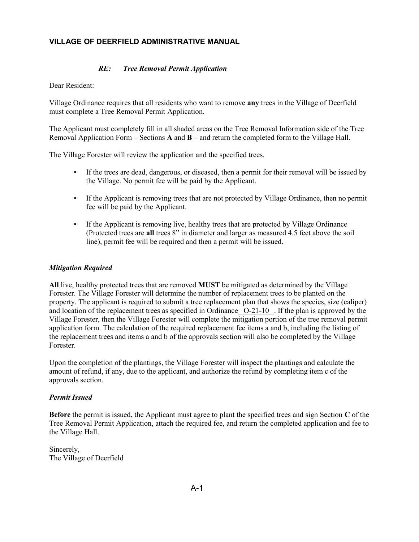## **VILLAGE OF DEERFIELD ADMINISTRATIVE MANUAL**

## *RE: Tree Removal Permit Application*

Dear Resident:

Village Ordinance requires that all residents who want to remove **any** trees in the Village of Deerfield must complete a Tree Removal Permit Application.

The Applicant must completely fill in all shaded areas on the Tree Removal Information side of the Tree Removal Application Form – Sections **A** and **B** – and return the completed form to the Village Hall.

The Village Forester will review the application and the specified trees.

- If the trees are dead, dangerous, or diseased, then a permit for their removal will be issued by the Village. No permit fee will be paid by the Applicant.
- If the Applicant is removing trees that are not protected by Village Ordinance, then no permit fee will be paid by the Applicant.
- If the Applicant is removing live, healthy trees that are protected by Village Ordinance (Protected trees are **all** trees 8" in diameter and larger as measured 4.5 feet above the soil line), permit fee will be required and then a permit will be issued.

## *Mitigation Required*

**All** live, healthy protected trees that are removed **MUST** be mitigated as determined by the Village Forester. The Village Forester will determine the number of replacement trees to be planted on the property. The applicant is required to submit a tree replacement plan that shows the species, size (caliper) and location of the replacement trees as specified in Ordinance O-21-10 . If the plan is approved by the Village Forester, then the Village Forester will complete the mitigation portion of the tree removal permit application form. The calculation of the required replacement fee items a and b, including the listing of the replacement trees and items a and b of the approvals section will also be completed by the Village Forester.

Upon the completion of the plantings, the Village Forester will inspect the plantings and calculate the amount of refund, if any, due to the applicant, and authorize the refund by completing item c of the approvals section.

## *Permit Issued*

**Before** the permit is issued, the Applicant must agree to plant the specified trees and sign Section **C** of the Tree Removal Permit Application, attach the required fee, and return the completed application and fee to the Village Hall.

Sincerely, The Village of Deerfield